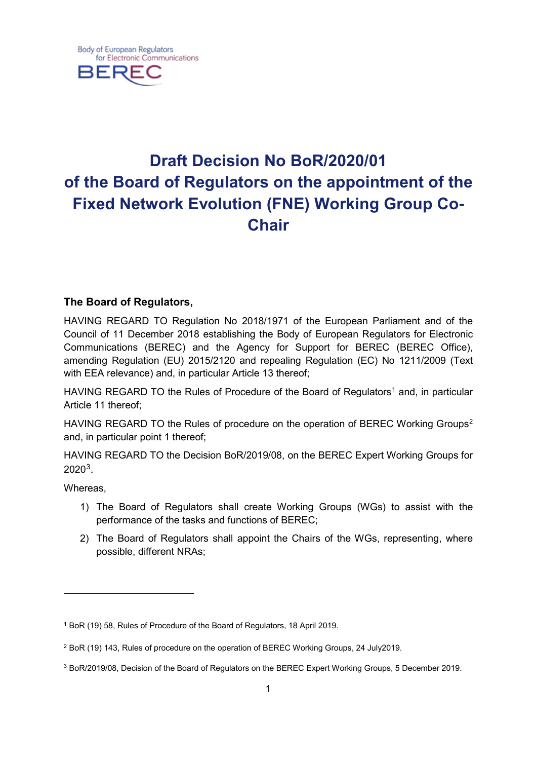

# **Draft Decision No BoR/2020/01 of the Board of Regulators on the appointment of the Fixed Network Evolution (FNE) Working Group Co-Chair**

# **The Board of Regulators,**

HAVING REGARD TO Regulation No 2018/1971 of the European Parliament and of the Council of 11 December 2018 establishing the Body of European Regulators for Electronic Communications (BEREC) and the Agency for Support for BEREC (BEREC Office), amending Regulation (EU) 2015/2120 and repealing Regulation (EC) No 1211/2009 (Text with EEA relevance) and, in particular Article 13 thereof;

HAVING REGARD TO the Rules of Procedure of the Board of Regulators<sup>[1](#page-0-0)</sup> and, in particular Article 11 thereof;

HAVING REGARD TO the Rules of procedure on the operation of BEREC Working Groups<sup>[2](#page-0-1)</sup> and, in particular point 1 thereof;

HAVING REGARD TO the Decision BoR/2019/08, on the BEREC Expert Working Groups for 2020[3](#page-0-2).

Whereas,

 $\overline{a}$ 

- 1) The Board of Regulators shall create Working Groups (WGs) to assist with the performance of the tasks and functions of BEREC;
- 2) The Board of Regulators shall appoint the Chairs of the WGs, representing, where possible, different NRAs;

<span id="page-0-0"></span>**<sup>1</sup>** BoR (19) 58, Rules of Procedure of the Board of Regulators, 18 April 2019.

<span id="page-0-1"></span><sup>2</sup> BoR (19) 143, Rules of procedure on the operation of BEREC Working Groups, 24 July2019.

<span id="page-0-2"></span><sup>3</sup> BoR/2019/08, Decision of the Board of Regulators on the BEREC Expert Working Groups, 5 December 2019.